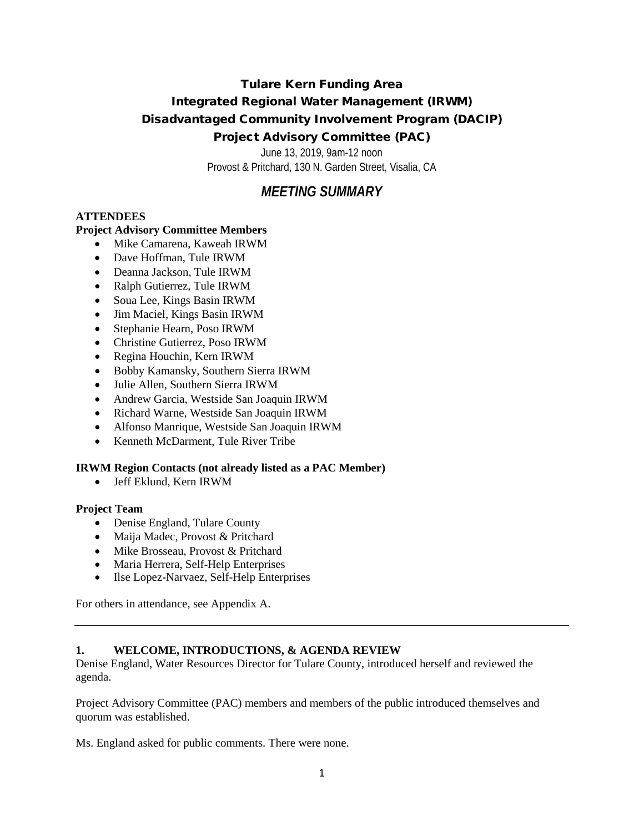# Tulare Kern Funding Area Integrated Regional Water Management (IRWM) Disadvantaged Community Involvement Program (DACIP) Project Advisory Committee (PAC)

June 13, 2019, 9am-12 noon Provost & Pritchard, 130 N. Garden Street, Visalia, CA

# *MEETING SUMMARY*

## **ATTENDEES**

## **Project Advisory Committee Members**

- Mike Camarena, Kaweah IRWM
- Dave Hoffman, Tule IRWM
- Deanna Jackson, Tule IRWM
- Ralph Gutierrez, Tule IRWM
- Soua Lee, Kings Basin IRWM
- Jim Maciel, Kings Basin IRWM
- Stephanie Hearn, Poso IRWM
- Christine Gutierrez, Poso IRWM
- Regina Houchin, Kern IRWM
- Bobby Kamansky, Southern Sierra IRWM
- Julie Allen, Southern Sierra IRWM
- Andrew Garcia, Westside San Joaquin IRWM
- Richard Warne, Westside San Joaquin IRWM
- Alfonso Manrique, Westside San Joaquin IRWM
- Kenneth McDarment, Tule River Tribe

### **IRWM Region Contacts (not already listed as a PAC Member)**

• Jeff Eklund, Kern IRWM

### **Project Team**

- Denise England, Tulare County
- Maija Madec, Provost & Pritchard
- Mike Brosseau, Provost & Pritchard
- Maria Herrera, Self-Help Enterprises
- Ilse Lopez-Narvaez, Self-Help Enterprises

For others in attendance, see Appendix A.

### **1. WELCOME, INTRODUCTIONS, & AGENDA REVIEW**

Denise England, Water Resources Director for Tulare County, introduced herself and reviewed the agenda.

Project Advisory Committee (PAC) members and members of the public introduced themselves and quorum was established.

Ms. England asked for public comments. There were none.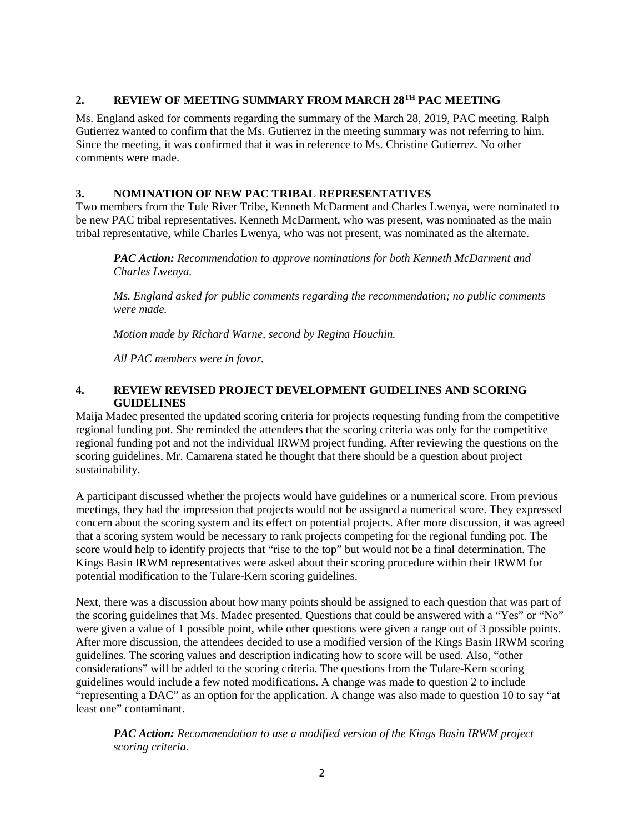#### **2. REVIEW OF MEETING SUMMARY FROM MARCH 28TH PAC MEETING**

Ms. England asked for comments regarding the summary of the March 28, 2019, PAC meeting. Ralph Gutierrez wanted to confirm that the Ms. Gutierrez in the meeting summary was not referring to him. Since the meeting, it was confirmed that it was in reference to Ms. Christine Gutierrez. No other comments were made.

#### **3. NOMINATION OF NEW PAC TRIBAL REPRESENTATIVES**

Two members from the Tule River Tribe, Kenneth McDarment and Charles Lwenya, were nominated to be new PAC tribal representatives. Kenneth McDarment, who was present, was nominated as the main tribal representative, while Charles Lwenya, who was not present, was nominated as the alternate.

*PAC Action: Recommendation to approve nominations for both Kenneth McDarment and Charles Lwenya.* 

*Ms. England asked for public comments regarding the recommendation; no public comments were made.*

*Motion made by Richard Warne, second by Regina Houchin.*

*All PAC members were in favor.*

#### **4. REVIEW REVISED PROJECT DEVELOPMENT GUIDELINES AND SCORING GUIDELINES**

Maija Madec presented the updated scoring criteria for projects requesting funding from the competitive regional funding pot. She reminded the attendees that the scoring criteria was only for the competitive regional funding pot and not the individual IRWM project funding. After reviewing the questions on the scoring guidelines, Mr. Camarena stated he thought that there should be a question about project sustainability.

A participant discussed whether the projects would have guidelines or a numerical score. From previous meetings, they had the impression that projects would not be assigned a numerical score. They expressed concern about the scoring system and its effect on potential projects. After more discussion, it was agreed that a scoring system would be necessary to rank projects competing for the regional funding pot. The score would help to identify projects that "rise to the top" but would not be a final determination. The Kings Basin IRWM representatives were asked about their scoring procedure within their IRWM for potential modification to the Tulare-Kern scoring guidelines.

Next, there was a discussion about how many points should be assigned to each question that was part of the scoring guidelines that Ms. Madec presented. Questions that could be answered with a "Yes" or "No" were given a value of 1 possible point, while other questions were given a range out of 3 possible points. After more discussion, the attendees decided to use a modified version of the Kings Basin IRWM scoring guidelines. The scoring values and description indicating how to score will be used. Also, "other considerations" will be added to the scoring criteria. The questions from the Tulare-Kern scoring guidelines would include a few noted modifications. A change was made to question 2 to include "representing a DAC" as an option for the application. A change was also made to question 10 to say "at least one" contaminant.

*PAC Action: Recommendation to use a modified version of the Kings Basin IRWM project scoring criteria.*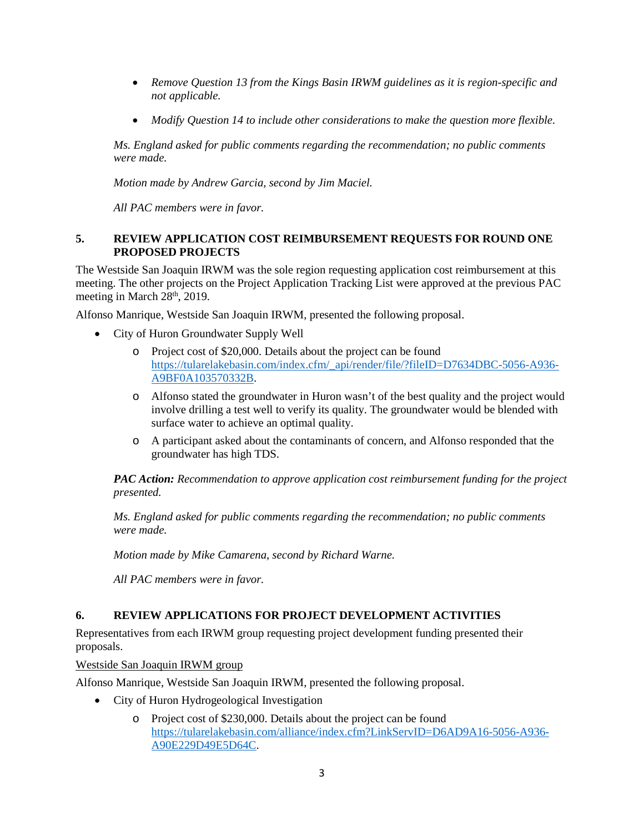- *Remove Question 13 from the Kings Basin IRWM guidelines as it is region-specific and not applicable.*
- *Modify Question 14 to include other considerations to make the question more flexible.*

*Ms. England asked for public comments regarding the recommendation; no public comments were made.*

*Motion made by Andrew Garcia, second by Jim Maciel.*

*All PAC members were in favor.*

#### **5. REVIEW APPLICATION COST REIMBURSEMENT REQUESTS FOR ROUND ONE PROPOSED PROJECTS**

The Westside San Joaquin IRWM was the sole region requesting application cost reimbursement at this meeting. The other projects on the Project Application Tracking List were approved at the previous PAC meeting in March  $28<sup>th</sup>$ , 2019.

Alfonso Manrique, Westside San Joaquin IRWM, presented the following proposal.

- City of Huron Groundwater Supply Well
	- o Project cost of \$20,000. Details about the project can be found [https://tularelakebasin.com/index.cfm/\\_api/render/file/?fileID=D7634DBC-5056-A936-](https://tularelakebasin.com/index.cfm/_api/render/file/?fileID=D7634DBC-5056-A936-A9BF0A103570332B) [A9BF0A103570332B.](https://tularelakebasin.com/index.cfm/_api/render/file/?fileID=D7634DBC-5056-A936-A9BF0A103570332B)
	- o Alfonso stated the groundwater in Huron wasn't of the best quality and the project would involve drilling a test well to verify its quality. The groundwater would be blended with surface water to achieve an optimal quality.
	- o A participant asked about the contaminants of concern, and Alfonso responded that the groundwater has high TDS.

*PAC Action: Recommendation to approve application cost reimbursement funding for the project presented.* 

*Ms. England asked for public comments regarding the recommendation; no public comments were made.*

*Motion made by Mike Camarena, second by Richard Warne.*

*All PAC members were in favor.*

### **6. REVIEW APPLICATIONS FOR PROJECT DEVELOPMENT ACTIVITIES**

Representatives from each IRWM group requesting project development funding presented their proposals.

Westside San Joaquin IRWM group

Alfonso Manrique, Westside San Joaquin IRWM, presented the following proposal.

- City of Huron Hydrogeological Investigation
	- o Project cost of \$230,000. Details about the project can be found [https://tularelakebasin.com/alliance/index.cfm?LinkServID=D6AD9A16-5056-A936-](https://tularelakebasin.com/alliance/index.cfm?LinkServID=D6AD9A16-5056-A936-A90E229D49E5D64C) [A90E229D49E5D64C.](https://tularelakebasin.com/alliance/index.cfm?LinkServID=D6AD9A16-5056-A936-A90E229D49E5D64C)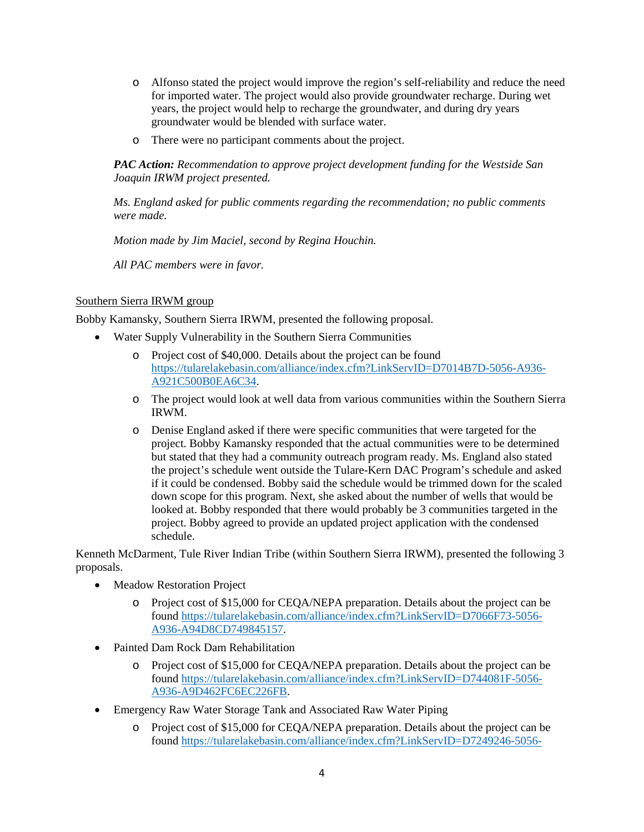- o Alfonso stated the project would improve the region's self-reliability and reduce the need for imported water. The project would also provide groundwater recharge. During wet years, the project would help to recharge the groundwater, and during dry years groundwater would be blended with surface water.
- o There were no participant comments about the project.

#### *PAC Action: Recommendation to approve project development funding for the Westside San Joaquin IRWM project presented.*

*Ms. England asked for public comments regarding the recommendation; no public comments were made.*

*Motion made by Jim Maciel, second by Regina Houchin.*

*All PAC members were in favor.*

#### Southern Sierra IRWM group

Bobby Kamansky, Southern Sierra IRWM, presented the following proposal.

- Water Supply Vulnerability in the Southern Sierra Communities
	- o Project cost of \$40,000. Details about the project can be found [https://tularelakebasin.com/alliance/index.cfm?LinkServID=D7014B7D-5056-A936-](https://tularelakebasin.com/alliance/index.cfm?LinkServID=D7014B7D-5056-A936-A921C500B0EA6C34) [A921C500B0EA6C34.](https://tularelakebasin.com/alliance/index.cfm?LinkServID=D7014B7D-5056-A936-A921C500B0EA6C34)
	- o The project would look at well data from various communities within the Southern Sierra IRWM.
	- o Denise England asked if there were specific communities that were targeted for the project. Bobby Kamansky responded that the actual communities were to be determined but stated that they had a community outreach program ready. Ms. England also stated the project's schedule went outside the Tulare-Kern DAC Program's schedule and asked if it could be condensed. Bobby said the schedule would be trimmed down for the scaled down scope for this program. Next, she asked about the number of wells that would be looked at. Bobby responded that there would probably be 3 communities targeted in the project. Bobby agreed to provide an updated project application with the condensed schedule.

Kenneth McDarment, Tule River Indian Tribe (within Southern Sierra IRWM), presented the following 3 proposals.

- **Meadow Restoration Project** 
	- o Project cost of \$15,000 for CEQA/NEPA preparation. Details about the project can be found [https://tularelakebasin.com/alliance/index.cfm?LinkServID=D7066F73-5056-](https://tularelakebasin.com/alliance/index.cfm?LinkServID=D7066F73-5056-A936-A94D8CD749845157) [A936-A94D8CD749845157.](https://tularelakebasin.com/alliance/index.cfm?LinkServID=D7066F73-5056-A936-A94D8CD749845157)
- Painted Dam Rock Dam Rehabilitation
	- o Project cost of \$15,000 for CEQA/NEPA preparation. Details about the project can be found [https://tularelakebasin.com/alliance/index.cfm?LinkServID=D744081F-5056-](https://tularelakebasin.com/alliance/index.cfm?LinkServID=D744081F-5056-A936-A9D462FC6EC226FB) [A936-A9D462FC6EC226FB.](https://tularelakebasin.com/alliance/index.cfm?LinkServID=D744081F-5056-A936-A9D462FC6EC226FB)
- Emergency Raw Water Storage Tank and Associated Raw Water Piping
	- o Project cost of \$15,000 for CEQA/NEPA preparation. Details about the project can be found [https://tularelakebasin.com/alliance/index.cfm?LinkServID=D7249246-5056-](https://tularelakebasin.com/alliance/index.cfm?LinkServID=D7249246-5056-A936-A97B2F462134B32C)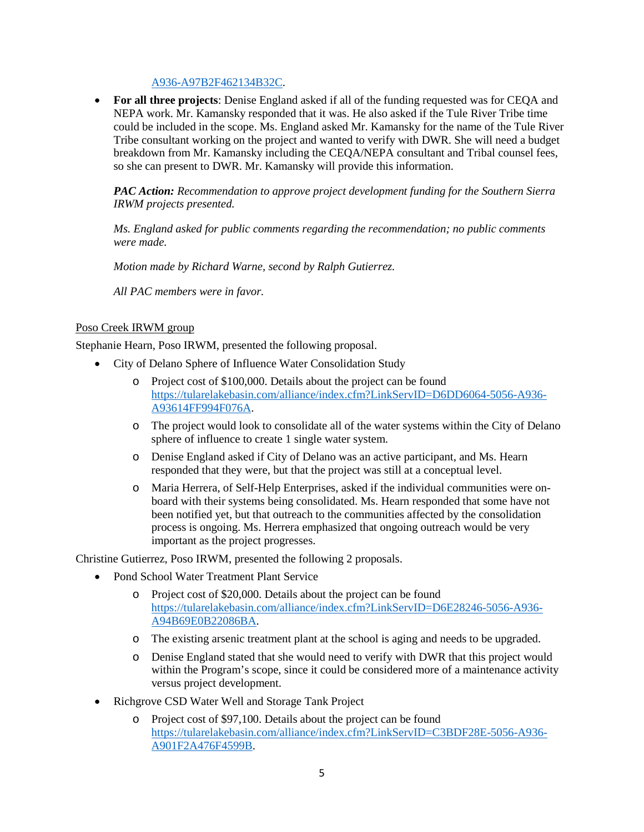#### [A936-A97B2F462134B32C.](https://tularelakebasin.com/alliance/index.cfm?LinkServID=D7249246-5056-A936-A97B2F462134B32C)

• **For all three projects**: Denise England asked if all of the funding requested was for CEQA and NEPA work. Mr. Kamansky responded that it was. He also asked if the Tule River Tribe time could be included in the scope. Ms. England asked Mr. Kamansky for the name of the Tule River Tribe consultant working on the project and wanted to verify with DWR. She will need a budget breakdown from Mr. Kamansky including the CEQA/NEPA consultant and Tribal counsel fees, so she can present to DWR. Mr. Kamansky will provide this information.

*PAC Action: Recommendation to approve project development funding for the Southern Sierra IRWM projects presented.* 

*Ms. England asked for public comments regarding the recommendation; no public comments were made.*

*Motion made by Richard Warne, second by Ralph Gutierrez.*

*All PAC members were in favor.*

#### Poso Creek IRWM group

Stephanie Hearn, Poso IRWM, presented the following proposal.

- City of Delano Sphere of Influence Water Consolidation Study
	- o Project cost of \$100,000. Details about the project can be found [https://tularelakebasin.com/alliance/index.cfm?LinkServID=D6DD6064-5056-A936-](https://tularelakebasin.com/alliance/index.cfm?LinkServID=D6DD6064-5056-A936-A93614FF994F076A) [A93614FF994F076A.](https://tularelakebasin.com/alliance/index.cfm?LinkServID=D6DD6064-5056-A936-A93614FF994F076A)
	- o The project would look to consolidate all of the water systems within the City of Delano sphere of influence to create 1 single water system.
	- o Denise England asked if City of Delano was an active participant, and Ms. Hearn responded that they were, but that the project was still at a conceptual level.
	- o Maria Herrera, of Self-Help Enterprises, asked if the individual communities were onboard with their systems being consolidated. Ms. Hearn responded that some have not been notified yet, but that outreach to the communities affected by the consolidation process is ongoing. Ms. Herrera emphasized that ongoing outreach would be very important as the project progresses.

Christine Gutierrez, Poso IRWM, presented the following 2 proposals.

- Pond School Water Treatment Plant Service
	- o Project cost of \$20,000. Details about the project can be found [https://tularelakebasin.com/alliance/index.cfm?LinkServID=D6E28246-5056-A936-](https://tularelakebasin.com/alliance/index.cfm?LinkServID=D6E28246-5056-A936-A94B69E0B22086BA) [A94B69E0B22086BA.](https://tularelakebasin.com/alliance/index.cfm?LinkServID=D6E28246-5056-A936-A94B69E0B22086BA)
	- o The existing arsenic treatment plant at the school is aging and needs to be upgraded.
	- o Denise England stated that she would need to verify with DWR that this project would within the Program's scope, since it could be considered more of a maintenance activity versus project development.
- Richgrove CSD Water Well and Storage Tank Project
	- o Project cost of \$97,100. Details about the project can be found [https://tularelakebasin.com/alliance/index.cfm?LinkServID=C3BDF28E-5056-A936-](https://tularelakebasin.com/alliance/index.cfm?LinkServID=C3BDF28E-5056-A936-A901F2A476F4599B) [A901F2A476F4599B.](https://tularelakebasin.com/alliance/index.cfm?LinkServID=C3BDF28E-5056-A936-A901F2A476F4599B)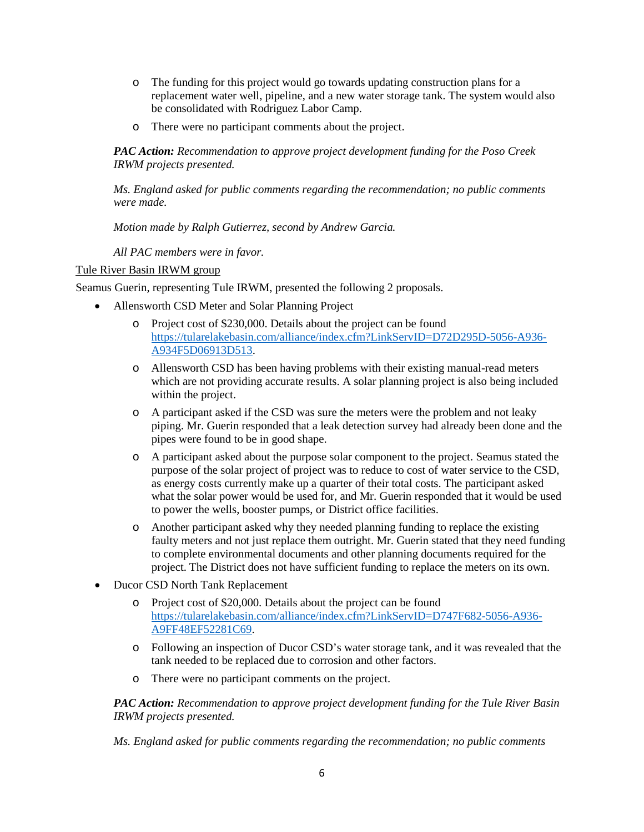- o The funding for this project would go towards updating construction plans for a replacement water well, pipeline, and a new water storage tank. The system would also be consolidated with Rodriguez Labor Camp.
- o There were no participant comments about the project.

*PAC Action: Recommendation to approve project development funding for the Poso Creek IRWM projects presented.* 

*Ms. England asked for public comments regarding the recommendation; no public comments were made.*

*Motion made by Ralph Gutierrez, second by Andrew Garcia.*

*All PAC members were in favor.*

#### Tule River Basin IRWM group

Seamus Guerin, representing Tule IRWM, presented the following 2 proposals.

- Allensworth CSD Meter and Solar Planning Project
	- o Project cost of \$230,000. Details about the project can be found [https://tularelakebasin.com/alliance/index.cfm?LinkServID=D72D295D-5056-A936-](https://tularelakebasin.com/alliance/index.cfm?LinkServID=D72D295D-5056-A936-A934F5D06913D513) [A934F5D06913D513.](https://tularelakebasin.com/alliance/index.cfm?LinkServID=D72D295D-5056-A936-A934F5D06913D513)
	- o Allensworth CSD has been having problems with their existing manual-read meters which are not providing accurate results. A solar planning project is also being included within the project.
	- o A participant asked if the CSD was sure the meters were the problem and not leaky piping. Mr. Guerin responded that a leak detection survey had already been done and the pipes were found to be in good shape.
	- o A participant asked about the purpose solar component to the project. Seamus stated the purpose of the solar project of project was to reduce to cost of water service to the CSD, as energy costs currently make up a quarter of their total costs. The participant asked what the solar power would be used for, and Mr. Guerin responded that it would be used to power the wells, booster pumps, or District office facilities.
	- o Another participant asked why they needed planning funding to replace the existing faulty meters and not just replace them outright. Mr. Guerin stated that they need funding to complete environmental documents and other planning documents required for the project. The District does not have sufficient funding to replace the meters on its own.
- Ducor CSD North Tank Replacement
	- o Project cost of \$20,000. Details about the project can be found [https://tularelakebasin.com/alliance/index.cfm?LinkServID=D747F682-5056-A936-](https://tularelakebasin.com/alliance/index.cfm?LinkServID=D747F682-5056-A936-A9FF48EF52281C69) [A9FF48EF52281C69.](https://tularelakebasin.com/alliance/index.cfm?LinkServID=D747F682-5056-A936-A9FF48EF52281C69)
	- o Following an inspection of Ducor CSD's water storage tank, and it was revealed that the tank needed to be replaced due to corrosion and other factors.
	- o There were no participant comments on the project.

*PAC Action: Recommendation to approve project development funding for the Tule River Basin IRWM projects presented.* 

*Ms. England asked for public comments regarding the recommendation; no public comments*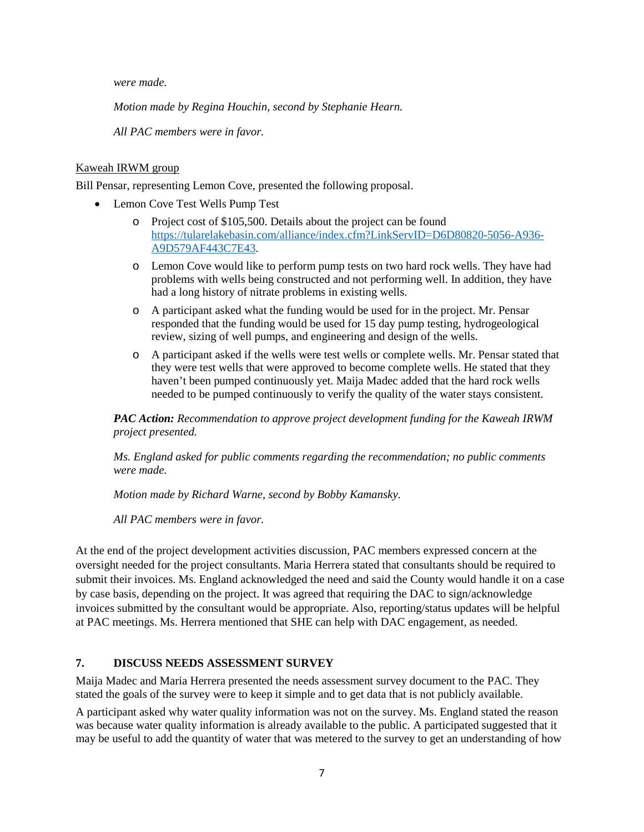*were made.*

*Motion made by Regina Houchin, second by Stephanie Hearn.*

*All PAC members were in favor.*

#### Kaweah IRWM group

Bill Pensar, representing Lemon Cove, presented the following proposal.

- Lemon Cove Test Wells Pump Test
	- o Project cost of \$105,500. Details about the project can be found [https://tularelakebasin.com/alliance/index.cfm?LinkServID=D6D80820-5056-A936-](https://tularelakebasin.com/alliance/index.cfm?LinkServID=D6D80820-5056-A936-A9D579AF443C7E43) [A9D579AF443C7E43.](https://tularelakebasin.com/alliance/index.cfm?LinkServID=D6D80820-5056-A936-A9D579AF443C7E43)
	- o Lemon Cove would like to perform pump tests on two hard rock wells. They have had problems with wells being constructed and not performing well. In addition, they have had a long history of nitrate problems in existing wells.
	- o A participant asked what the funding would be used for in the project. Mr. Pensar responded that the funding would be used for 15 day pump testing, hydrogeological review, sizing of well pumps, and engineering and design of the wells.
	- o A participant asked if the wells were test wells or complete wells. Mr. Pensar stated that they were test wells that were approved to become complete wells. He stated that they haven't been pumped continuously yet. Maija Madec added that the hard rock wells needed to be pumped continuously to verify the quality of the water stays consistent.

*PAC Action: Recommendation to approve project development funding for the Kaweah IRWM project presented.* 

*Ms. England asked for public comments regarding the recommendation; no public comments were made.*

*Motion made by Richard Warne, second by Bobby Kamansky.*

*All PAC members were in favor.*

At the end of the project development activities discussion, PAC members expressed concern at the oversight needed for the project consultants. Maria Herrera stated that consultants should be required to submit their invoices. Ms. England acknowledged the need and said the County would handle it on a case by case basis, depending on the project. It was agreed that requiring the DAC to sign/acknowledge invoices submitted by the consultant would be appropriate. Also, reporting/status updates will be helpful at PAC meetings. Ms. Herrera mentioned that SHE can help with DAC engagement, as needed.

#### **7. DISCUSS NEEDS ASSESSMENT SURVEY**

Maija Madec and Maria Herrera presented the needs assessment survey document to the PAC. They stated the goals of the survey were to keep it simple and to get data that is not publicly available.

A participant asked why water quality information was not on the survey. Ms. England stated the reason was because water quality information is already available to the public. A participated suggested that it may be useful to add the quantity of water that was metered to the survey to get an understanding of how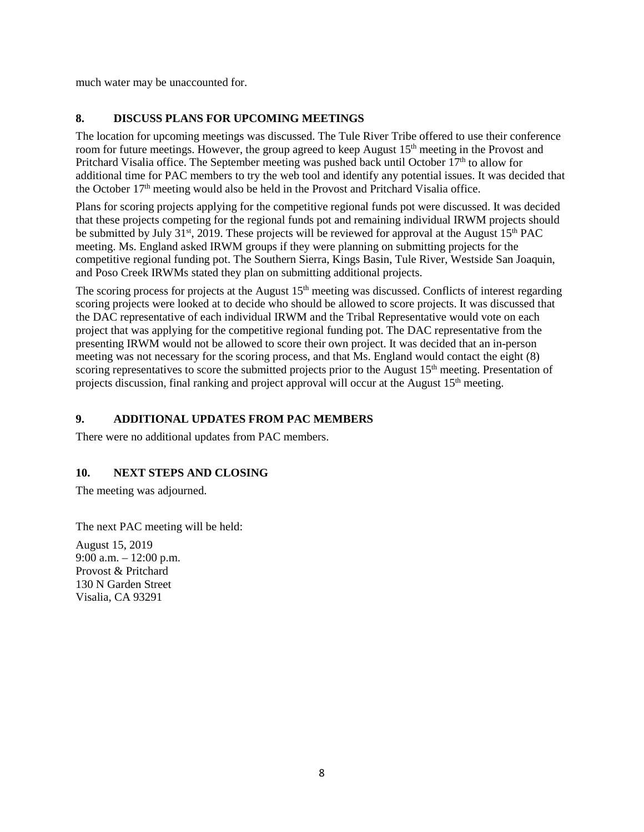much water may be unaccounted for.

### **8. DISCUSS PLANS FOR UPCOMING MEETINGS**

The location for upcoming meetings was discussed. The Tule River Tribe offered to use their conference room for future meetings. However, the group agreed to keep August 15<sup>th</sup> meeting in the Provost and Pritchard Visalia office. The September meeting was pushed back until October 17<sup>th</sup> to allow for additional time for PAC members to try the web tool and identify any potential issues. It was decided that the October  $17<sup>th</sup>$  meeting would also be held in the Provost and Pritchard Visalia office.

Plans for scoring projects applying for the competitive regional funds pot were discussed. It was decided that these projects competing for the regional funds pot and remaining individual IRWM projects should be submitted by July 31<sup>st</sup>, 2019. These projects will be reviewed for approval at the August 15<sup>th</sup> PAC meeting. Ms. England asked IRWM groups if they were planning on submitting projects for the competitive regional funding pot. The Southern Sierra, Kings Basin, Tule River, Westside San Joaquin, and Poso Creek IRWMs stated they plan on submitting additional projects.

The scoring process for projects at the August 15<sup>th</sup> meeting was discussed. Conflicts of interest regarding scoring projects were looked at to decide who should be allowed to score projects. It was discussed that the DAC representative of each individual IRWM and the Tribal Representative would vote on each project that was applying for the competitive regional funding pot. The DAC representative from the presenting IRWM would not be allowed to score their own project. It was decided that an in-person meeting was not necessary for the scoring process, and that Ms. England would contact the eight (8) scoring representatives to score the submitted projects prior to the August 15<sup>th</sup> meeting. Presentation of projects discussion, final ranking and project approval will occur at the August 15<sup>th</sup> meeting.

### **9. ADDITIONAL UPDATES FROM PAC MEMBERS**

There were no additional updates from PAC members.

### **10. NEXT STEPS AND CLOSING**

The meeting was adjourned.

The next PAC meeting will be held:

August 15, 2019 9:00 a.m. – 12:00 p.m. Provost & Pritchard 130 N Garden Street Visalia, CA 93291